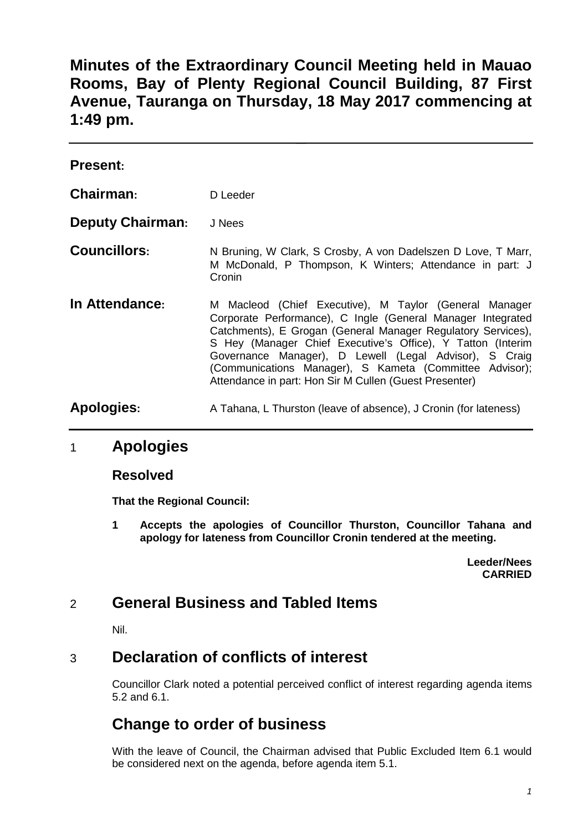**Minutes of the Extraordinary Council Meeting held in Mauao Rooms, Bay of Plenty Regional Council Building, 87 First Avenue, Tauranga on Thursday, 18 May 2017 commencing at 1:49 pm.**

| <b>Present:</b>         |                                                                                                                                                                                                                                                                                                                                                                                                                                     |
|-------------------------|-------------------------------------------------------------------------------------------------------------------------------------------------------------------------------------------------------------------------------------------------------------------------------------------------------------------------------------------------------------------------------------------------------------------------------------|
| Chairman:               | D Leeder                                                                                                                                                                                                                                                                                                                                                                                                                            |
| <b>Deputy Chairman:</b> | J Nees                                                                                                                                                                                                                                                                                                                                                                                                                              |
| <b>Councillors:</b>     | N Bruning, W Clark, S Crosby, A von Dadelszen D Love, T Marr,<br>M McDonald, P Thompson, K Winters; Attendance in part: J<br>Cronin                                                                                                                                                                                                                                                                                                 |
| In Attendance:          | M Macleod (Chief Executive), M Taylor (General Manager<br>Corporate Performance), C Ingle (General Manager Integrated<br>Catchments), E Grogan (General Manager Regulatory Services),<br>S Hey (Manager Chief Executive's Office), Y Tatton (Interim<br>Governance Manager), D Lewell (Legal Advisor), S Craig<br>(Communications Manager), S Kameta (Committee Advisor);<br>Attendance in part: Hon Sir M Cullen (Guest Presenter) |
| Apologies:              | A Tahana, L Thurston (leave of absence), J Cronin (for lateness)                                                                                                                                                                                                                                                                                                                                                                    |

#### 1 **Apologies**

#### **Resolved**

**That the Regional Council:**

**1 Accepts the apologies of Councillor Thurston, Councillor Tahana and apology for lateness from Councillor Cronin tendered at the meeting.**

> **Leeder/Nees CARRIED**

## 2 **General Business and Tabled Items**

Nil.

## 3 **Declaration of conflicts of interest**

Councillor Clark noted a potential perceived conflict of interest regarding agenda items 5.2 and 6.1.

# **Change to order of business**

With the leave of Council, the Chairman advised that Public Excluded Item 6.1 would be considered next on the agenda, before agenda item 5.1.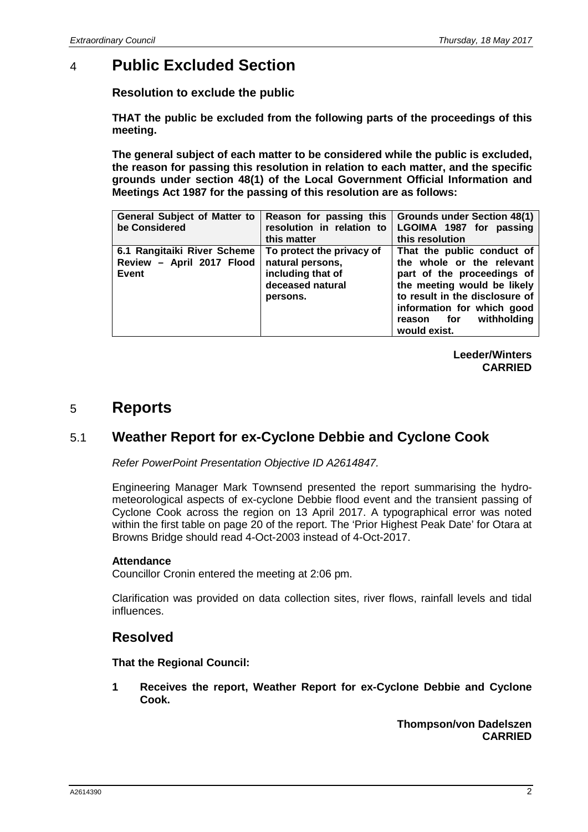### 4 **Public Excluded Section**

**Resolution to exclude the public**

**THAT the public be excluded from the following parts of the proceedings of this meeting.**

**The general subject of each matter to be considered while the public is excluded, the reason for passing this resolution in relation to each matter, and the specific grounds under section 48(1) of the Local Government Official Information and Meetings Act 1987 for the passing of this resolution are as follows:**

| <b>General Subject of Matter to</b> | Reason for passing this   | <b>Grounds under Section 48(1)</b>    |
|-------------------------------------|---------------------------|---------------------------------------|
| be Considered                       | resolution in relation to | LGOIMA 1987 for passing               |
|                                     | this matter               | this resolution                       |
| 6.1 Rangitaiki River Scheme         | To protect the privacy of | That the public conduct of            |
| Review - April 2017 Flood           | natural persons,          | the whole or the relevant             |
| Event                               | including that of         | part of the proceedings of            |
|                                     | deceased natural          | the meeting would be likely           |
|                                     | persons.                  | to result in the disclosure of        |
|                                     |                           | information for which good            |
|                                     |                           | withholding<br>for <b>f</b><br>reason |
|                                     |                           | would exist.                          |

**Leeder/Winters CARRIED**

#### 5 **Reports**

#### 5.1 **Weather Report for ex-Cyclone Debbie and Cyclone Cook**

*Refer PowerPoint Presentation Objective ID A2614847.*

Engineering Manager Mark Townsend presented the report summarising the hydrometeorological aspects of ex-cyclone Debbie flood event and the transient passing of Cyclone Cook across the region on 13 April 2017. A typographical error was noted within the first table on page 20 of the report. The 'Prior Highest Peak Date' for Otara at Browns Bridge should read 4-Oct-2003 instead of 4-Oct-2017.

#### **Attendance**

Councillor Cronin entered the meeting at 2:06 pm.

Clarification was provided on data collection sites, river flows, rainfall levels and tidal influences.

#### **Resolved**

**That the Regional Council:**

**1 Receives the report, Weather Report for ex-Cyclone Debbie and Cyclone Cook.**

> **Thompson/von Dadelszen CARRIED**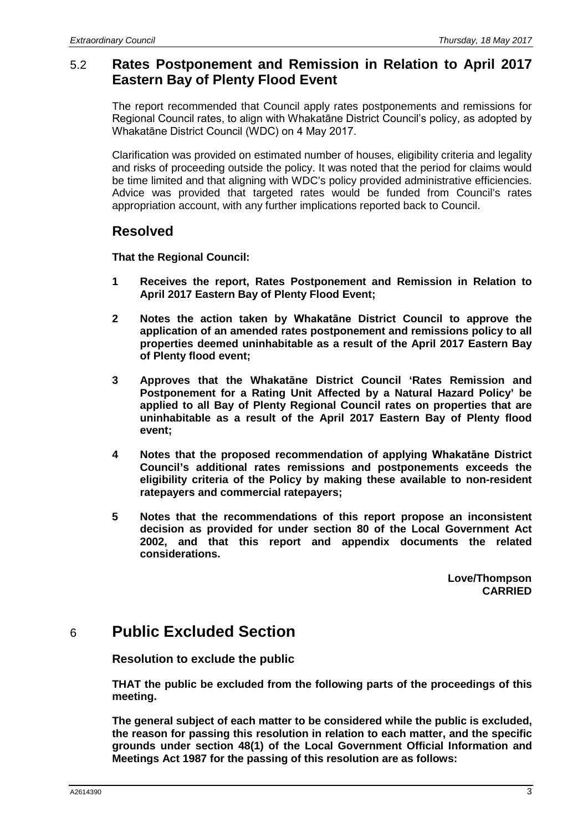#### 5.2 **Rates Postponement and Remission in Relation to April 2017 Eastern Bay of Plenty Flood Event**

The report recommended that Council apply rates postponements and remissions for Regional Council rates, to align with Whakatāne District Council's policy, as adopted by Whakatāne District Council (WDC) on 4 May 2017.

Clarification was provided on estimated number of houses, eligibility criteria and legality and risks of proceeding outside the policy. It was noted that the period for claims would be time limited and that aligning with WDC's policy provided administrative efficiencies. Advice was provided that targeted rates would be funded from Council's rates appropriation account, with any further implications reported back to Council.

#### **Resolved**

**That the Regional Council:**

- **1 Receives the report, Rates Postponement and Remission in Relation to April 2017 Eastern Bay of Plenty Flood Event;**
- **2 Notes the action taken by Whakatāne District Council to approve the application of an amended rates postponement and remissions policy to all properties deemed uninhabitable as a result of the April 2017 Eastern Bay of Plenty flood event;**
- **3 Approves that the Whakatāne District Council 'Rates Remission and Postponement for a Rating Unit Affected by a Natural Hazard Policy' be applied to all Bay of Plenty Regional Council rates on properties that are uninhabitable as a result of the April 2017 Eastern Bay of Plenty flood event;**
- **4 Notes that the proposed recommendation of applying Whakatāne District Council's additional rates remissions and postponements exceeds the eligibility criteria of the Policy by making these available to non-resident ratepayers and commercial ratepayers;**
- **5 Notes that the recommendations of this report propose an inconsistent decision as provided for under section 80 of the Local Government Act 2002, and that this report and appendix documents the related considerations.**

**Love/Thompson CARRIED**

## 6 **Public Excluded Section**

**Resolution to exclude the public**

**THAT the public be excluded from the following parts of the proceedings of this meeting.**

**The general subject of each matter to be considered while the public is excluded, the reason for passing this resolution in relation to each matter, and the specific grounds under section 48(1) of the Local Government Official Information and Meetings Act 1987 for the passing of this resolution are as follows:**